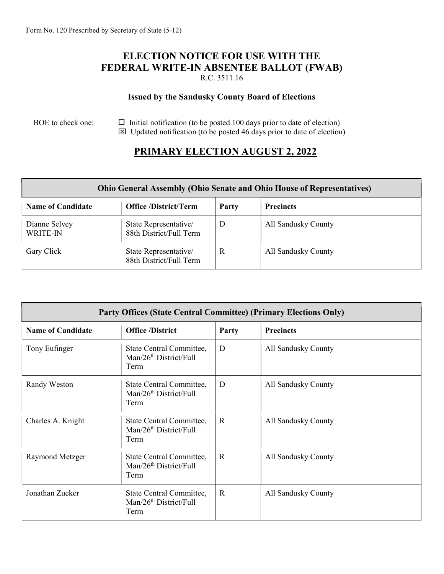### ELECTION NOTICE FOR USE WITH THE FEDERAL WRITE-IN ABSENTEE BALLOT (FWAB) R.C. 3511.16

### Issued by the Sandusky County Board of Elections

#### BOE to check one:  $\Box$  Initial notification (to be posted 100 days prior to date of election)  $\boxtimes$  Updated notification (to be posted 46 days prior to date of election)

# PRIMARY ELECTION AUGUST 2, 2022

| <b>Ohio General Assembly (Ohio Senate and Ohio House of Representatives)</b> |                                                  |       |                     |  |  |  |
|------------------------------------------------------------------------------|--------------------------------------------------|-------|---------------------|--|--|--|
| <b>Name of Candidate</b>                                                     | <b>Office</b> /District/Term                     | Party | <b>Precincts</b>    |  |  |  |
| Dianne Selvey<br><b>WRITE-IN</b>                                             | State Representative/<br>88th District/Full Term | D     | All Sandusky County |  |  |  |
| Gary Click                                                                   | State Representative/<br>88th District/Full Term | R     | All Sandusky County |  |  |  |

| <b>Party Offices (State Central Committee) (Primary Elections Only)</b> |                                                                        |              |                     |  |  |  |
|-------------------------------------------------------------------------|------------------------------------------------------------------------|--------------|---------------------|--|--|--|
| <b>Name of Candidate</b>                                                | <b>Office</b> /District                                                | Party        | <b>Precincts</b>    |  |  |  |
| Tony Eufinger                                                           | State Central Committee,<br>Man/26 <sup>th</sup> District/Full<br>Term | D            | All Sandusky County |  |  |  |
| Randy Weston                                                            | State Central Committee,<br>Man/26 <sup>th</sup> District/Full<br>Term | D            | All Sandusky County |  |  |  |
| Charles A. Knight                                                       | State Central Committee,<br>Man/26 <sup>th</sup> District/Full<br>Term | $\mathbf R$  | All Sandusky County |  |  |  |
| Raymond Metzger                                                         | State Central Committee,<br>Man/26 <sup>th</sup> District/Full<br>Term | $\mathbb{R}$ | All Sandusky County |  |  |  |
| Jonathan Zucker                                                         | State Central Committee,<br>Man/26 <sup>th</sup> District/Full<br>Term | $\mathbf{R}$ | All Sandusky County |  |  |  |